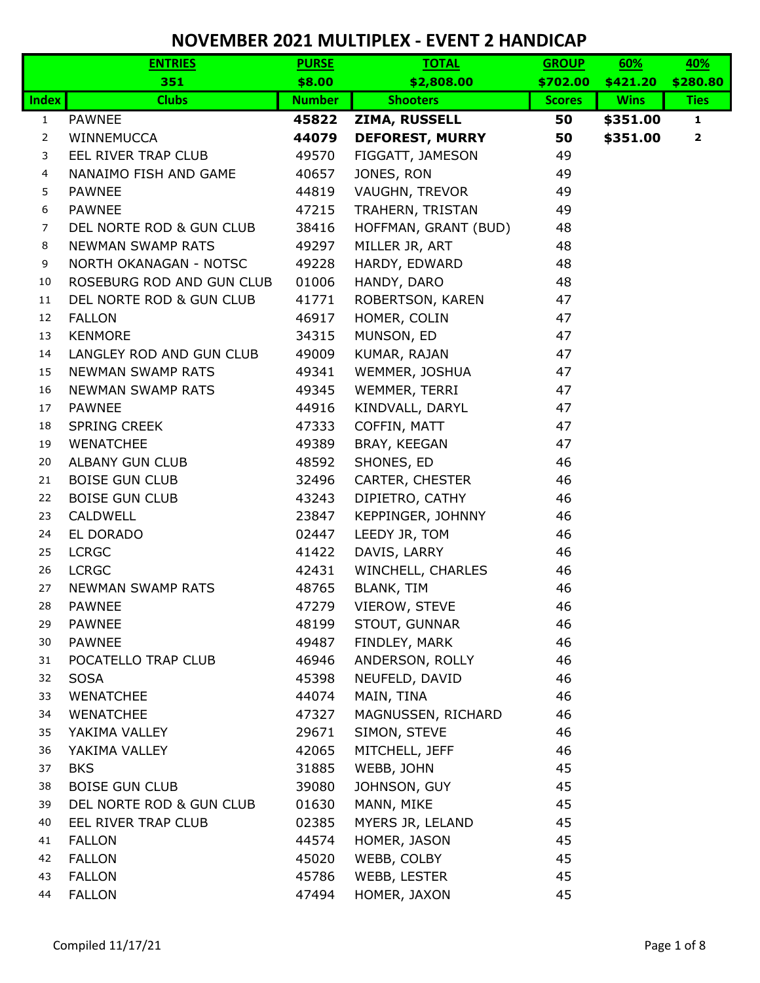|                | <b>ENTRIES</b>            | <b>PURSE</b>                     | <b>TOTAL</b>           | <b>GROUP</b>  | 60%         | 40%          |
|----------------|---------------------------|----------------------------------|------------------------|---------------|-------------|--------------|
|                | 351                       | \$8.00                           | \$2,808.00             | \$702.00      | \$421.20    | \$280.80     |
| <b>Index</b>   | <b>Clubs</b>              | <b>Number</b><br><b>Shooters</b> |                        | <b>Scores</b> | <b>Wins</b> | <b>Ties</b>  |
| $\mathbf{1}$   | <b>PAWNEE</b>             | 45822                            | ZIMA, RUSSELL          | 50            | \$351.00    | $\mathbf{1}$ |
| $\overline{2}$ | WINNEMUCCA                | 44079                            | <b>DEFOREST, MURRY</b> | 50            | \$351.00    | $\mathbf{2}$ |
| 3              | EEL RIVER TRAP CLUB       | 49570                            | FIGGATT, JAMESON       | 49            |             |              |
| $\overline{4}$ | NANAIMO FISH AND GAME     | 40657                            | JONES, RON             | 49            |             |              |
| 5              | <b>PAWNEE</b>             | 44819                            | VAUGHN, TREVOR         | 49            |             |              |
| 6              | <b>PAWNEE</b>             | 47215                            | TRAHERN, TRISTAN       | 49            |             |              |
| $\overline{7}$ | DEL NORTE ROD & GUN CLUB  | 38416                            | HOFFMAN, GRANT (BUD)   | 48            |             |              |
| 8              | <b>NEWMAN SWAMP RATS</b>  | 49297                            | MILLER JR, ART         | 48            |             |              |
| 9              | NORTH OKANAGAN - NOTSC    | 49228                            | HARDY, EDWARD          | 48            |             |              |
| 10             | ROSEBURG ROD AND GUN CLUB | 01006                            | HANDY, DARO            | 48            |             |              |
| 11             | DEL NORTE ROD & GUN CLUB  | 41771                            | ROBERTSON, KAREN       | 47            |             |              |
| 12             | <b>FALLON</b>             | 46917                            | HOMER, COLIN           | 47            |             |              |
| 13             | <b>KENMORE</b>            | 34315                            | MUNSON, ED             | 47            |             |              |
| 14             | LANGLEY ROD AND GUN CLUB  | 49009                            | KUMAR, RAJAN           | 47            |             |              |
| 15             | <b>NEWMAN SWAMP RATS</b>  | 49341                            | WEMMER, JOSHUA         | 47            |             |              |
| 16             | <b>NEWMAN SWAMP RATS</b>  | 49345                            | WEMMER, TERRI          | 47            |             |              |
| 17             | <b>PAWNEE</b>             | 44916                            | KINDVALL, DARYL        | 47            |             |              |
| 18             | <b>SPRING CREEK</b>       | 47333                            | COFFIN, MATT           | 47            |             |              |
| 19             | <b>WENATCHEE</b>          | 49389                            | BRAY, KEEGAN           | 47            |             |              |
| 20             | <b>ALBANY GUN CLUB</b>    | 48592                            | SHONES, ED             | 46            |             |              |
| 21             | <b>BOISE GUN CLUB</b>     | 32496                            | CARTER, CHESTER        | 46            |             |              |
| 22             | <b>BOISE GUN CLUB</b>     | 43243                            | DIPIETRO, CATHY        | 46            |             |              |
| 23             | <b>CALDWELL</b>           | 23847                            | KEPPINGER, JOHNNY      | 46            |             |              |
| 24             | EL DORADO                 | 02447                            | LEEDY JR, TOM          | 46            |             |              |
| 25             | <b>LCRGC</b>              | 41422                            | DAVIS, LARRY           | 46            |             |              |
| 26             | <b>LCRGC</b>              | 42431                            | WINCHELL, CHARLES      | 46            |             |              |
| 27             | <b>NEWMAN SWAMP RATS</b>  | 48765                            | <b>BLANK, TIM</b>      | 46            |             |              |
| 28             | <b>PAWNEE</b>             | 47279                            | VIEROW, STEVE          | 46            |             |              |
| 29             | <b>PAWNEE</b>             | 48199                            | STOUT, GUNNAR          | 46            |             |              |
| 30             | <b>PAWNEE</b>             | 49487                            | FINDLEY, MARK          | 46            |             |              |
| 31             | POCATELLO TRAP CLUB       | 46946                            | ANDERSON, ROLLY        | 46            |             |              |
| 32             | <b>SOSA</b>               | 45398                            | NEUFELD, DAVID         | 46            |             |              |
| 33             | <b>WENATCHEE</b>          | 44074                            | MAIN, TINA             | 46            |             |              |
| 34             | <b>WENATCHEE</b>          | 47327                            | MAGNUSSEN, RICHARD     | 46            |             |              |
| 35             | YAKIMA VALLEY             | 29671                            | SIMON, STEVE           | 46            |             |              |
| 36             | YAKIMA VALLEY             | 42065                            | MITCHELL, JEFF         | 46            |             |              |
| 37             | <b>BKS</b>                | 31885                            | WEBB, JOHN             | 45            |             |              |
| 38             | <b>BOISE GUN CLUB</b>     | 39080                            | JOHNSON, GUY           | 45            |             |              |
| 39             | DEL NORTE ROD & GUN CLUB  | 01630                            | MANN, MIKE             | 45            |             |              |
| 40             | EEL RIVER TRAP CLUB       | 02385                            | MYERS JR, LELAND       | 45            |             |              |
| 41             | <b>FALLON</b>             | 44574                            | HOMER, JASON           | 45            |             |              |
| 42             | <b>FALLON</b>             | 45020                            | WEBB, COLBY            | 45            |             |              |
| 43             | <b>FALLON</b>             | 45786                            | WEBB, LESTER           | 45            |             |              |
| 44             | <b>FALLON</b>             | 47494                            | HOMER, JAXON           | 45            |             |              |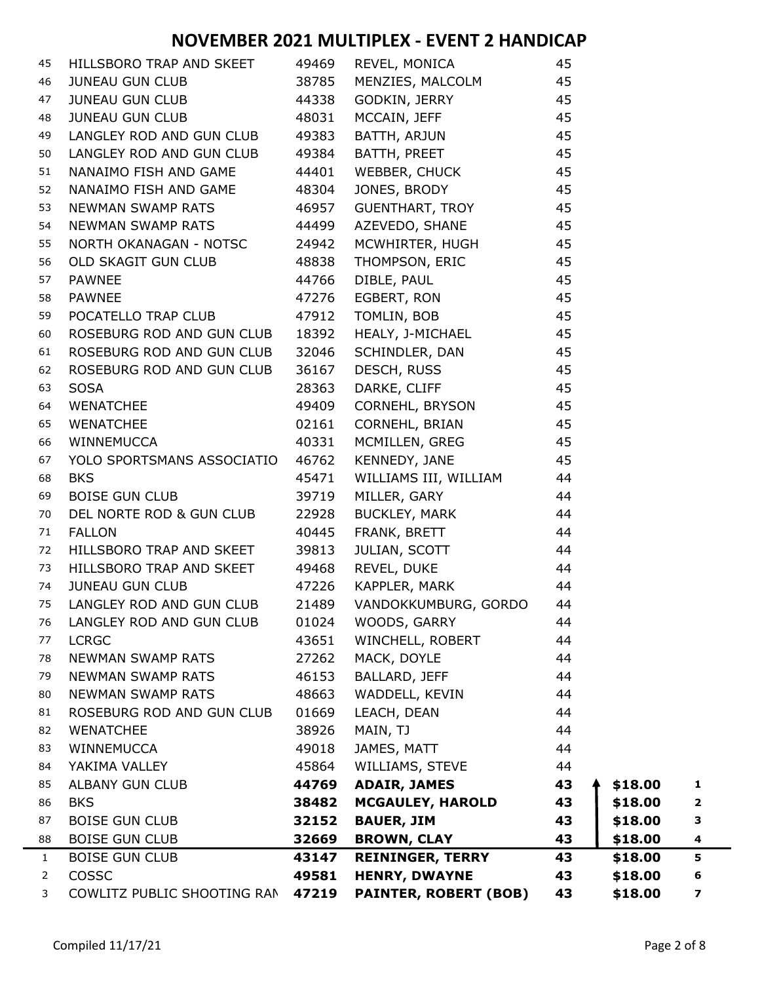| 45 | HILLSBORO TRAP AND SKEET                      | 49469 | REVEL, MONICA                                                         | 45 |         |   |
|----|-----------------------------------------------|-------|-----------------------------------------------------------------------|----|---------|---|
| 46 | JUNEAU GUN CLUB                               | 38785 |                                                                       |    |         |   |
| 47 | JUNEAU GUN CLUB 44338                         |       | MENZIES, MALCOLM 45<br>GODKIN, JERRY 45                               |    |         |   |
| 48 | JUNEAU GUN CLUB <b>ANGLIA EN 1999 EN 1999</b> | 48031 | MCCAIN, JEFF 45                                                       |    |         |   |
| 49 | LANGLEY ROD AND GUN CLUB                      | 49383 | BATTH, ARJUN 45                                                       |    |         |   |
| 50 | LANGLEY ROD AND GUN CLUB 49384                |       | BATTH, PREET 45                                                       |    |         |   |
| 51 | NANAIMO FISH AND GAME 44401                   |       | WEBBER, CHUCK 45                                                      |    |         |   |
| 52 | NANAIMO FISH AND GAME 48304                   |       | JONES, BRODY MARINE                                                   | 45 |         |   |
| 53 | NEWMAN SWAMP RATS 46957                       |       | GUENTHART, TROY 45                                                    |    |         |   |
| 54 | NEWMAN SWAMP RATS 44499                       |       | AZEVEDO, SHANE                                                        | 45 |         |   |
| 55 | NORTH OKANAGAN - NOTSC 24942                  |       | MCWHIRTER, HUGH 45                                                    |    |         |   |
| 56 | OLD SKAGIT GUN CLUB 48838                     |       | THOMPSON, ERIC 45                                                     |    |         |   |
| 57 | <b>PAWNEE</b>                                 | 44766 | DIBLE, PAUL 45                                                        |    |         |   |
| 58 | <b>PAWNEE</b>                                 | 47276 | EGBERT, RON 45                                                        |    |         |   |
| 59 | POCATELLO TRAP CLUB                           | 47912 | TOMLIN, BOB                                                           | 45 |         |   |
| 60 | ROSEBURG ROD AND GUN CLUB 18392               |       | HEALY, J-MICHAEL 45                                                   |    |         |   |
| 61 | ROSEBURG ROD AND GUN CLUB 32046               |       |                                                                       |    |         |   |
| 62 | ROSEBURG ROD AND GUN CLUB                     | 36167 | SCHINDLER, DAN 45<br>DESCH, RUSS 45                                   |    |         |   |
| 63 | <b>SOSA</b>                                   | 28363 | DARKE, CLIFF                                                          | 45 |         |   |
| 64 | WENATCHEE                                     | 49409 | CORNEHL, BRYSON 45                                                    |    |         |   |
| 65 | WENATCHEE                                     | 02161 | CORNEHL, BRIAN 45                                                     |    |         |   |
| 66 | WINNEMUCCA                                    | 40331 | MCMILLEN, GREG 45                                                     |    |         |   |
| 67 | YOLO SPORTSMANS ASSOCIATIO 46762              |       | KENNEDY, JANE 45                                                      |    |         |   |
| 68 | <b>BKS</b>                                    | 45471 | WILLIAMS III, WILLIAM 44                                              |    |         |   |
| 69 | <b>BOISE GUN CLUB</b>                         | 39719 | MILLER, GARY 44                                                       |    |         |   |
| 70 | DEL NORTE ROD & GUN CLUB                      | 22928 | <b>BUCKLEY, MARK</b>                                                  | 44 |         |   |
| 71 | <b>FALLON</b>                                 | 40445 | FRANK, BRETT<br>JULIAN, SCOTT 44<br>REVEL, DUKE 44<br>KARRI TRANKE 44 |    |         |   |
| 72 | HILLSBORO TRAP AND SKEET                      | 39813 |                                                                       |    |         |   |
| 73 | HILLSBORO TRAP AND SKEET 49468                |       |                                                                       |    |         |   |
| 74 | <b>JUNEAU GUN CLUB</b><br>47226               |       | KAPPLER, MARK                                                         | 44 |         |   |
| 75 | LANGLEY ROD AND GUN CLUB                      | 21489 | VANDOKKUMBURG, GORDO                                                  | 44 |         |   |
| 76 | LANGLEY ROD AND GUN CLUB                      | 01024 | WOODS, GARRY                                                          | 44 |         |   |
| 77 | <b>LCRGC</b>                                  | 43651 | WINCHELL, ROBERT                                                      | 44 |         |   |
| 78 | NEWMAN SWAMP RATS                             | 27262 | MACK, DOYLE                                                           | 44 |         |   |
| 79 | <b>NEWMAN SWAMP RATS</b>                      | 46153 | BALLARD, JEFF                                                         | 44 |         |   |
| 80 | <b>NEWMAN SWAMP RATS</b>                      | 48663 | WADDELL, KEVIN                                                        | 44 |         |   |
| 81 | ROSEBURG ROD AND GUN CLUB                     | 01669 | LEACH, DEAN                                                           | 44 |         |   |
| 82 | <b>WENATCHEE</b>                              | 38926 | MAIN, TJ                                                              | 44 |         |   |
| 83 | WINNEMUCCA                                    | 49018 | JAMES, MATT                                                           | 44 |         |   |
| 84 | YAKIMA VALLEY                                 | 45864 | WILLIAMS, STEVE                                                       | 44 |         |   |
| 85 | ALBANY GUN CLUB                               | 44769 | <b>ADAIR, JAMES</b>                                                   | 43 | \$18.00 | 1 |
| 86 | <b>BKS</b>                                    | 38482 | <b>MCGAULEY, HAROLD</b>                                               | 43 | \$18.00 | 2 |
| 87 | <b>BOISE GUN CLUB</b>                         | 32152 | <b>BAUER, JIM</b>                                                     | 43 | \$18.00 | 3 |
| 88 | <b>BOISE GUN CLUB</b>                         | 32669 | <b>BROWN, CLAY</b>                                                    | 43 | \$18.00 | 4 |
| 1  | <b>BOISE GUN CLUB</b>                         | 43147 | <b>REININGER, TERRY</b>                                               | 43 | \$18.00 | 5 |
| 2  | COSSC                                         | 49581 | <b>HENRY, DWAYNE</b>                                                  | 43 | \$18.00 | 6 |
| 3  | COWLITZ PUBLIC SHOOTING RAN                   | 47219 | <b>PAINTER, ROBERT (BOB)</b>                                          | 43 | \$18.00 | 7 |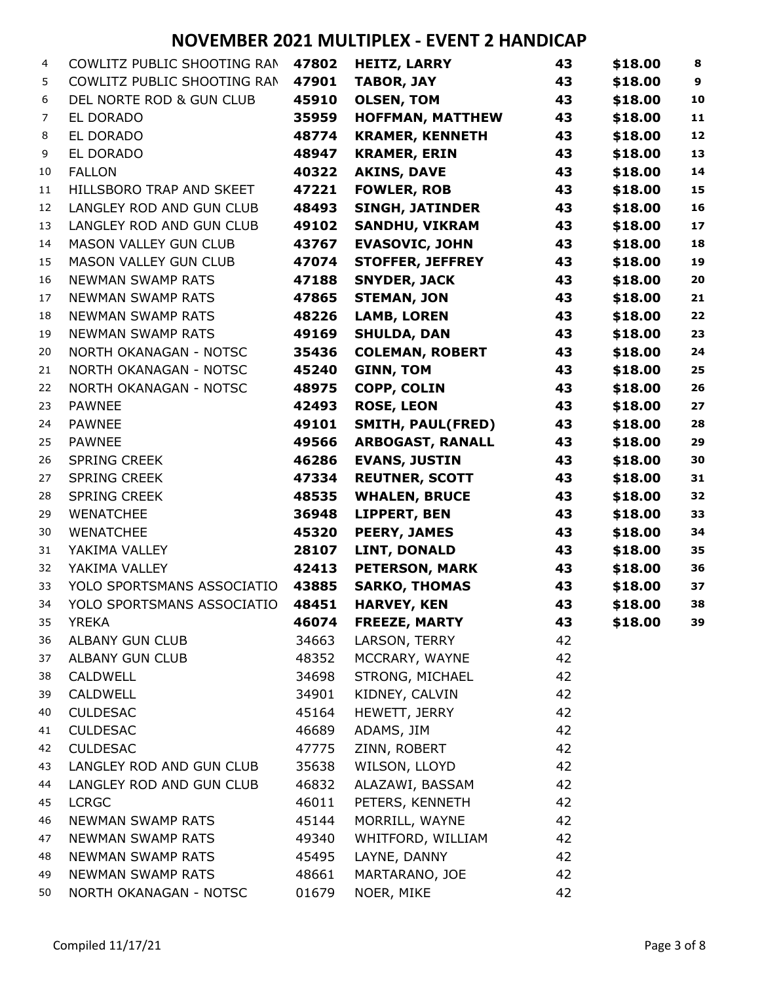| 4              | COWLITZ PUBLIC SHOOTING RAN   | 47802 | <b>HEITZ, LARRY</b>      | 43 | \$18.00 | 8                |
|----------------|-------------------------------|-------|--------------------------|----|---------|------------------|
| 5              | COWLITZ PUBLIC SHOOTING RAN   | 47901 | <b>TABOR, JAY</b>        | 43 | \$18.00 | $\boldsymbol{9}$ |
| 6              | DEL NORTE ROD & GUN CLUB      | 45910 | <b>OLSEN, TOM</b>        | 43 | \$18.00 | 10               |
| $\overline{7}$ | EL DORADO                     | 35959 | <b>HOFFMAN, MATTHEW</b>  | 43 | \$18.00 | 11               |
| 8              | EL DORADO                     | 48774 | <b>KRAMER, KENNETH</b>   | 43 | \$18.00 | 12               |
| 9              | EL DORADO                     | 48947 | <b>KRAMER, ERIN</b>      | 43 | \$18.00 | 13               |
| 10             | <b>FALLON</b>                 | 40322 | <b>AKINS, DAVE</b>       | 43 | \$18.00 | 14               |
| 11             | HILLSBORO TRAP AND SKEET      | 47221 | <b>FOWLER, ROB</b>       | 43 | \$18.00 | 15               |
| 12             | LANGLEY ROD AND GUN CLUB      | 48493 | <b>SINGH, JATINDER</b>   | 43 | \$18.00 | 16               |
| 13             | LANGLEY ROD AND GUN CLUB      | 49102 | <b>SANDHU, VIKRAM</b>    | 43 | \$18.00 | 17               |
| 14             | MASON VALLEY GUN CLUB         | 43767 | <b>EVASOVIC, JOHN</b>    | 43 | \$18.00 | 18               |
| 15             | MASON VALLEY GUN CLUB         | 47074 | <b>STOFFER, JEFFREY</b>  | 43 | \$18.00 | 19               |
| 16             | <b>NEWMAN SWAMP RATS</b>      | 47188 | <b>SNYDER, JACK</b>      | 43 | \$18.00 | 20               |
| 17             | <b>NEWMAN SWAMP RATS</b>      | 47865 | <b>STEMAN, JON</b>       | 43 | \$18.00 | 21               |
| 18             | <b>NEWMAN SWAMP RATS</b>      | 48226 | <b>LAMB, LOREN</b>       | 43 | \$18.00 | 22               |
| 19             | <b>NEWMAN SWAMP RATS</b>      | 49169 | <b>SHULDA, DAN</b>       | 43 | \$18.00 | 23               |
| 20             | NORTH OKANAGAN - NOTSC        | 35436 | <b>COLEMAN, ROBERT</b>   | 43 | \$18.00 | 24               |
| 21             | NORTH OKANAGAN - NOTSC        | 45240 | <b>GINN, TOM</b>         | 43 | \$18.00 | 25               |
| 22             | <b>NORTH OKANAGAN - NOTSC</b> | 48975 | <b>COPP, COLIN</b>       | 43 | \$18.00 | 26               |
| 23             | <b>PAWNEE</b>                 | 42493 | <b>ROSE, LEON</b>        | 43 | \$18.00 | 27               |
| 24             | <b>PAWNEE</b>                 | 49101 | <b>SMITH, PAUL(FRED)</b> | 43 | \$18.00 | 28               |
| 25             | <b>PAWNEE</b>                 | 49566 | <b>ARBOGAST, RANALL</b>  | 43 | \$18.00 | 29               |
| 26             | <b>SPRING CREEK</b>           | 46286 | <b>EVANS, JUSTIN</b>     | 43 | \$18.00 | 30               |
| 27             | <b>SPRING CREEK</b>           | 47334 | <b>REUTNER, SCOTT</b>    | 43 | \$18.00 | 31               |
| 28             | <b>SPRING CREEK</b>           | 48535 | <b>WHALEN, BRUCE</b>     | 43 | \$18.00 | 32               |
| 29             | <b>WENATCHEE</b>              | 36948 | <b>LIPPERT, BEN</b>      | 43 | \$18.00 | 33               |
| 30             | <b>WENATCHEE</b>              | 45320 | <b>PEERY, JAMES</b>      | 43 | \$18.00 | 34               |
| 31             | YAKIMA VALLEY                 | 28107 | <b>LINT, DONALD</b>      | 43 | \$18.00 | 35               |
| 32             | YAKIMA VALLEY                 | 42413 | <b>PETERSON, MARK</b>    | 43 | \$18.00 | 36               |
| 33             | YOLO SPORTSMANS ASSOCIATIO    | 43885 | <b>SARKO, THOMAS</b>     | 43 | \$18.00 | 37               |
| 34             | YOLO SPORTSMANS ASSOCIATIO    | 48451 | <b>HARVEY, KEN</b>       | 43 | \$18.00 | 38               |
| 35             | <b>YREKA</b>                  | 46074 | <b>FREEZE, MARTY</b>     | 43 | \$18.00 | 39               |
| 36             | ALBANY GUN CLUB               | 34663 | LARSON, TERRY            | 42 |         |                  |
| 37             | <b>ALBANY GUN CLUB</b>        | 48352 | MCCRARY, WAYNE           | 42 |         |                  |
| 38             | CALDWELL                      | 34698 | STRONG, MICHAEL          | 42 |         |                  |
| 39             | <b>CALDWELL</b>               | 34901 | KIDNEY, CALVIN           | 42 |         |                  |
| 40             | <b>CULDESAC</b>               | 45164 | HEWETT, JERRY            | 42 |         |                  |
| 41             | <b>CULDESAC</b>               | 46689 | ADAMS, JIM               | 42 |         |                  |
| 42             | <b>CULDESAC</b>               | 47775 | ZINN, ROBERT             | 42 |         |                  |
| 43             | LANGLEY ROD AND GUN CLUB      | 35638 | WILSON, LLOYD            | 42 |         |                  |
| 44             | LANGLEY ROD AND GUN CLUB      | 46832 | ALAZAWI, BASSAM          | 42 |         |                  |
| 45             | <b>LCRGC</b>                  | 46011 | PETERS, KENNETH          | 42 |         |                  |
| 46             | NEWMAN SWAMP RATS             | 45144 | MORRILL, WAYNE           | 42 |         |                  |
| 47             | NEWMAN SWAMP RATS             | 49340 | WHITFORD, WILLIAM        | 42 |         |                  |
| 48             | <b>NEWMAN SWAMP RATS</b>      | 45495 | LAYNE, DANNY             | 42 |         |                  |
| 49             | NEWMAN SWAMP RATS             | 48661 | MARTARANO, JOE           | 42 |         |                  |
| 50             | NORTH OKANAGAN - NOTSC        | 01679 | NOER, MIKE               | 42 |         |                  |
|                |                               |       |                          |    |         |                  |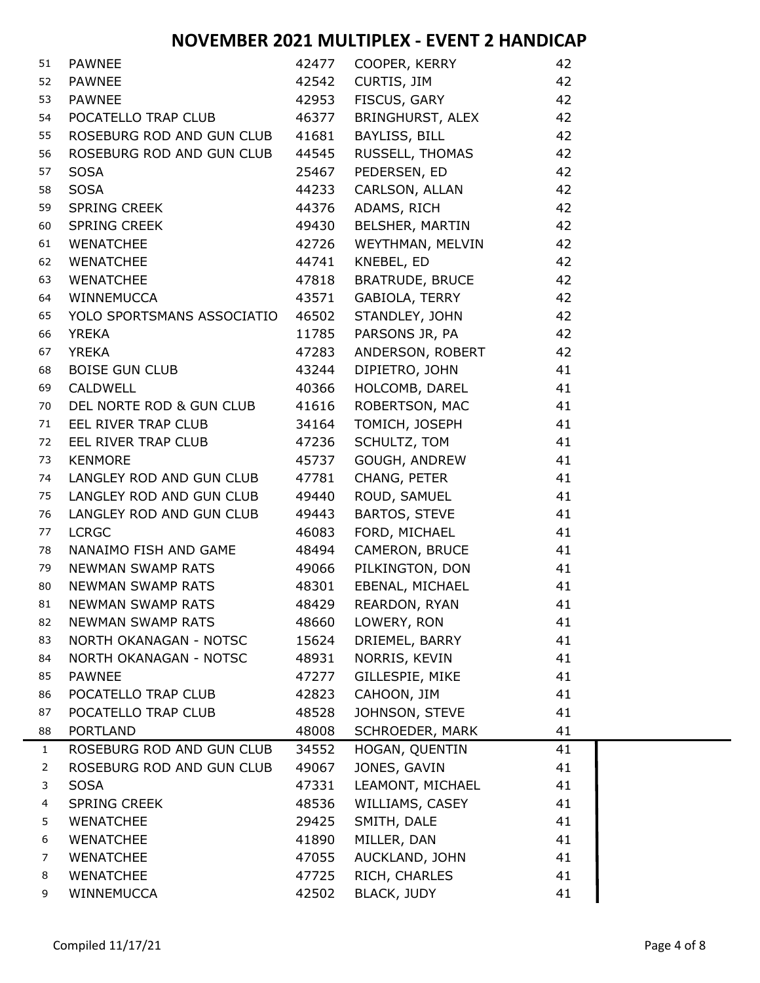| 51             | PAWNEE                     |       | 42477 COOPER, KERRY | 42 |  |
|----------------|----------------------------|-------|---------------------|----|--|
| 52             | PAWNEE                     | 42542 | CURTIS, JIM         | 42 |  |
| 53             | <b>PAWNEE</b>              | 42953 | FISCUS, GARY        | 42 |  |
| 54             | POCATELLO TRAP CLUB        | 46377 | BRINGHURST, ALEX    | 42 |  |
| 55             | ROSEBURG ROD AND GUN CLUB  | 41681 | BAYLISS, BILL       | 42 |  |
| 56             | ROSEBURG ROD AND GUN CLUB  | 44545 | RUSSELL, THOMAS     | 42 |  |
| 57             | <b>SOSA</b>                | 25467 | PEDERSEN, ED        | 42 |  |
| 58             | <b>SOSA</b>                | 44233 | CARLSON, ALLAN      | 42 |  |
| 59             | SPRING CREEK               | 44376 | ADAMS, RICH         | 42 |  |
| 60             | SPRING CREEK               | 49430 | BELSHER, MARTIN     | 42 |  |
| 61             | WENATCHEE                  | 42726 | WEYTHMAN, MELVIN    | 42 |  |
| 62             | WENATCHEE                  | 44741 | KNEBEL, ED          | 42 |  |
| 63             | WENATCHEE                  | 47818 | BRATRUDE, BRUCE     | 42 |  |
| 64             | WINNEMUCCA                 | 43571 | GABIOLA, TERRY      | 42 |  |
| 65             | YOLO SPORTSMANS ASSOCIATIO | 46502 | STANDLEY, JOHN      | 42 |  |
| 66             | <b>YREKA</b>               | 11785 | PARSONS JR, PA      | 42 |  |
| 67             | <b>YREKA</b>               | 47283 | ANDERSON, ROBERT    | 42 |  |
| 68             | <b>BOISE GUN CLUB</b>      | 43244 | DIPIETRO, JOHN      | 41 |  |
| 69             | CALDWELL                   | 40366 | HOLCOMB, DAREL      | 41 |  |
| 70             | DEL NORTE ROD & GUN CLUB   | 41616 | ROBERTSON, MAC      | 41 |  |
| 71             | EEL RIVER TRAP CLUB        | 34164 | TOMICH, JOSEPH      | 41 |  |
| 72             | EEL RIVER TRAP CLUB        | 47236 | SCHULTZ, TOM        | 41 |  |
| 73             | <b>KENMORE</b>             | 45737 | GOUGH, ANDREW       | 41 |  |
| 74             | LANGLEY ROD AND GUN CLUB   | 47781 | CHANG, PETER        | 41 |  |
| 75             | LANGLEY ROD AND GUN CLUB   | 49440 | ROUD, SAMUEL        | 41 |  |
| 76             | LANGLEY ROD AND GUN CLUB   | 49443 | BARTOS, STEVE       | 41 |  |
| 77             | <b>LCRGC</b>               | 46083 | FORD, MICHAEL       | 41 |  |
| 78             | NANAIMO FISH AND GAME      | 48494 | CAMERON, BRUCE      | 41 |  |
| 79             | <b>NEWMAN SWAMP RATS</b>   | 49066 | PILKINGTON, DON     | 41 |  |
| 80             | NEWMAN SWAMP RATS          | 48301 | EBENAL, MICHAEL     | 41 |  |
| 81             | NEWMAN SWAMP RATS          | 48429 | REARDON, RYAN       | 41 |  |
| 82             | <b>NEWMAN SWAMP RATS</b>   | 48660 | LOWERY, RON         | 41 |  |
| 83             | NORTH OKANAGAN - NOTSC     | 15624 | DRIEMEL, BARRY      | 41 |  |
| 84             | NORTH OKANAGAN - NOTSC     | 48931 | NORRIS, KEVIN       | 41 |  |
| 85             | <b>PAWNEE</b>              | 47277 | GILLESPIE, MIKE     | 41 |  |
| 86             | POCATELLO TRAP CLUB        | 42823 | CAHOON, JIM         | 41 |  |
| 87             | POCATELLO TRAP CLUB        | 48528 | JOHNSON, STEVE      | 41 |  |
| 88             | <b>PORTLAND</b>            | 48008 | SCHROEDER, MARK     | 41 |  |
| $\mathbf{1}$   | ROSEBURG ROD AND GUN CLUB  | 34552 | HOGAN, QUENTIN      | 41 |  |
| $\overline{2}$ | ROSEBURG ROD AND GUN CLUB  | 49067 | JONES, GAVIN        | 41 |  |
| 3              | <b>SOSA</b>                | 47331 | LEAMONT, MICHAEL    | 41 |  |
| 4              | <b>SPRING CREEK</b>        | 48536 | WILLIAMS, CASEY     | 41 |  |
| 5              | <b>WENATCHEE</b>           | 29425 | SMITH, DALE         | 41 |  |
| 6              | <b>WENATCHEE</b>           | 41890 | MILLER, DAN         | 41 |  |
| 7              | <b>WENATCHEE</b>           | 47055 | AUCKLAND, JOHN      | 41 |  |
| 8              | <b>WENATCHEE</b>           | 47725 | RICH, CHARLES       | 41 |  |
| 9              | WINNEMUCCA                 | 42502 | <b>BLACK, JUDY</b>  | 41 |  |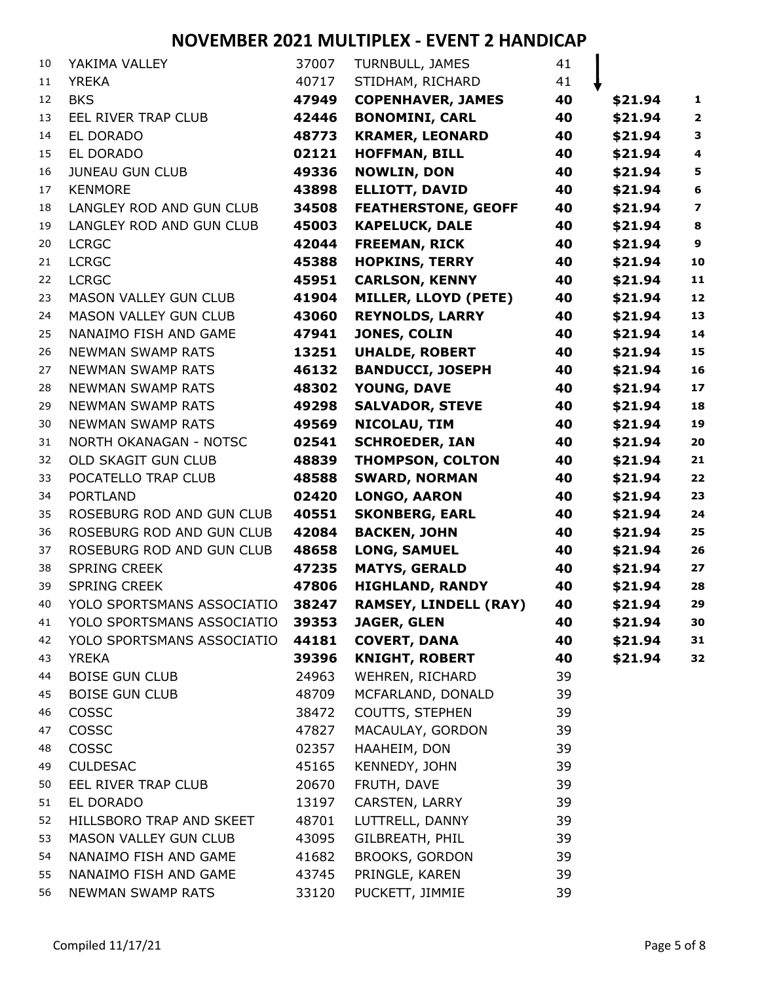| 10       | YAKIMA VALLEY                                  | 37007          | TURNBULL, JAMES                          | 41       |         |                         |
|----------|------------------------------------------------|----------------|------------------------------------------|----------|---------|-------------------------|
| 11       | <b>YREKA</b>                                   | 40717          | STIDHAM, RICHARD                         | 41       |         |                         |
| 12       | <b>BKS</b>                                     | 47949          | <b>COPENHAVER, JAMES</b>                 | 40       | \$21.94 | $\mathbf{1}$            |
| 13       | EEL RIVER TRAP CLUB                            | 42446          | <b>BONOMINI, CARL</b>                    | 40       | \$21.94 | $\overline{\mathbf{2}}$ |
| 14       | EL DORADO                                      | 48773          | <b>KRAMER, LEONARD</b>                   | 40       | \$21.94 | $\mathbf{3}$            |
| 15       | EL DORADO                                      | 02121          | <b>HOFFMAN, BILL</b>                     | 40       | \$21.94 | $\overline{\mathbf{4}}$ |
| 16       | <b>JUNEAU GUN CLUB</b>                         | 49336          | <b>NOWLIN, DON</b>                       | 40       | \$21.94 | ${\bf 5}$               |
| 17       | <b>KENMORE</b>                                 | 43898          | <b>ELLIOTT, DAVID</b>                    | 40       | \$21.94 | $\bf 6$                 |
| 18       | LANGLEY ROD AND GUN CLUB                       | 34508          | <b>FEATHERSTONE, GEOFF</b>               | 40       | \$21.94 | $\overline{\mathbf{z}}$ |
| 19       | LANGLEY ROD AND GUN CLUB                       | 45003          | <b>KAPELUCK, DALE</b>                    | 40       | \$21.94 | $\bf8$                  |
| 20       | <b>LCRGC</b>                                   | 42044          | <b>FREEMAN, RICK</b>                     | 40       | \$21.94 | $\boldsymbol{9}$        |
| 21       | <b>LCRGC</b>                                   | 45388          | <b>HOPKINS, TERRY</b>                    | 40       | \$21.94 | 10                      |
| 22       | <b>LCRGC</b>                                   | 45951          | <b>CARLSON, KENNY</b>                    | 40       | \$21.94 | 11                      |
| 23       | <b>MASON VALLEY GUN CLUB</b>                   | 41904          | MILLER, LLOYD (PETE)                     | 40       | \$21.94 | 12                      |
| 24       | <b>MASON VALLEY GUN CLUB</b>                   | 43060          | <b>REYNOLDS, LARRY</b>                   | 40       | \$21.94 | 13                      |
| 25       | NANAIMO FISH AND GAME                          | 47941          | JONES, COLIN                             | 40       | \$21.94 | 14                      |
| 26       | <b>NEWMAN SWAMP RATS</b>                       | 13251          | <b>UHALDE, ROBERT</b>                    | 40       | \$21.94 | 15                      |
| 27       | <b>NEWMAN SWAMP RATS</b>                       | 46132          | <b>BANDUCCI, JOSEPH</b>                  | 40       | \$21.94 | 16                      |
| 28       | <b>NEWMAN SWAMP RATS</b>                       | 48302          | YOUNG, DAVE                              | 40       | \$21.94 | 17                      |
| 29       | <b>NEWMAN SWAMP RATS</b>                       | 49298          | <b>SALVADOR, STEVE</b>                   | 40       | \$21.94 | 18                      |
| 30       | <b>NEWMAN SWAMP RATS</b>                       | 49569          | NICOLAU, TIM                             | 40       | \$21.94 | 19                      |
| 31       | <b>NORTH OKANAGAN - NOTSC</b>                  | 02541          | <b>SCHROEDER, IAN</b>                    | 40       | \$21.94 | 20                      |
| 32       | <b>OLD SKAGIT GUN CLUB</b>                     | 48839          | <b>THOMPSON, COLTON</b>                  | 40       | \$21.94 | 21                      |
| 33       | POCATELLO TRAP CLUB                            | 48588          | <b>SWARD, NORMAN</b>                     | 40       | \$21.94 | 22                      |
| 34       | <b>PORTLAND</b>                                | 02420          | <b>LONGO, AARON</b>                      | 40       | \$21.94 | 23                      |
| 35       | ROSEBURG ROD AND GUN CLUB                      | 40551          | <b>SKONBERG, EARL</b>                    | 40       | \$21.94 | 24                      |
| 36       | ROSEBURG ROD AND GUN CLUB                      | 42084          | <b>BACKEN, JOHN</b>                      | 40       | \$21.94 | 25                      |
| 37       | ROSEBURG ROD AND GUN CLUB                      | 48658          | <b>LONG, SAMUEL</b>                      | 40       | \$21.94 | 26                      |
| 38       | <b>SPRING CREEK</b>                            | 47235          | <b>MATYS, GERALD</b>                     | 40       | \$21.94 | 27                      |
| 39       | <b>SPRING CREEK</b>                            | 47806          | <b>HIGHLAND, RANDY</b>                   | 40       | \$21.94 | 28                      |
| 40       | YOLO SPORTSMANS ASSOCIATIO                     | 38247          | <b>RAMSEY, LINDELL (RAY)</b>             | 40       | \$21.94 | 29                      |
| 41       | YOLO SPORTSMANS ASSOCIATIO 39353               |                | <b>JAGER, GLEN</b>                       | 40       | \$21.94 | 30                      |
| 42       | YOLO SPORTSMANS ASSOCIATIO                     | 44181          | <b>COVERT, DANA</b>                      | 40       | \$21.94 | 31                      |
| 43       | <b>YREKA</b>                                   | 39396          | <b>KNIGHT, ROBERT</b>                    | 40       | \$21.94 | 32                      |
| 44       | <b>BOISE GUN CLUB</b>                          | 24963          | WEHREN, RICHARD                          | 39       |         |                         |
| 45       | <b>BOISE GUN CLUB</b>                          | 48709          | MCFARLAND, DONALD                        | 39       |         |                         |
| 46       | COSSC                                          | 38472          | COUTTS, STEPHEN                          | 39       |         |                         |
| 47       | <b>COSSC</b>                                   | 47827          | MACAULAY, GORDON                         | 39       |         |                         |
| 48       | COSSC                                          | 02357          | HAAHEIM, DON                             | 39       |         |                         |
| 49       | <b>CULDESAC</b>                                | 45165          | KENNEDY, JOHN                            | 39       |         |                         |
| 50       | EEL RIVER TRAP CLUB                            | 20670          | FRUTH, DAVE                              | 39       |         |                         |
| 51       | EL DORADO                                      | 13197          | CARSTEN, LARRY                           | 39       |         |                         |
| 52       | HILLSBORO TRAP AND SKEET                       | 48701          | LUTTRELL, DANNY                          | 39       |         |                         |
| 53       | MASON VALLEY GUN CLUB<br>NANAIMO FISH AND GAME | 43095<br>41682 | GILBREATH, PHIL<br><b>BROOKS, GORDON</b> | 39<br>39 |         |                         |
| 54<br>55 | NANAIMO FISH AND GAME                          | 43745          | PRINGLE, KAREN                           | 39       |         |                         |
| 56       | <b>NEWMAN SWAMP RATS</b>                       | 33120          | PUCKETT, JIMMIE                          | 39       |         |                         |
|          |                                                |                |                                          |          |         |                         |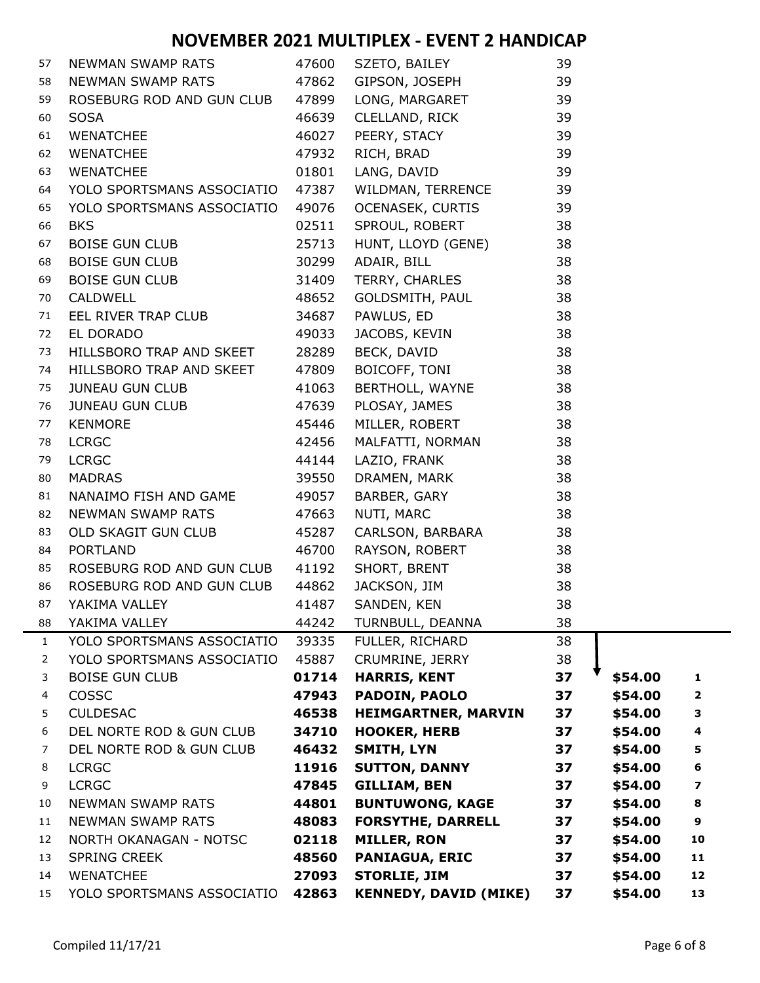| 57 | NEWMAN SWAMP RATS                                                                                     | 47600 | SZETO, BAILEY                        | 39   |         |                         |
|----|-------------------------------------------------------------------------------------------------------|-------|--------------------------------------|------|---------|-------------------------|
| 58 | NEWMAN SWAMP RATS                                                                                     | 47862 | GIPSON, JOSEPH                       | 39   |         |                         |
| 59 | ROSEBURG ROD AND GUN CLUB                                                                             | 47899 | LONG, MARGARET                       | 39   |         |                         |
| 60 | <b>SOSA</b>                                                                                           | 46639 | CLELLAND, RICK 39<br>PEERY, STACY 39 |      |         |                         |
| 61 | WENATCHEE                                                                                             | 46027 |                                      |      |         |                         |
| 62 | WENATCHEE                                                                                             | 47932 | $\sim$ 39<br>RICH, BRAD              |      |         |                         |
| 63 | WENATCHEE                                                                                             |       | 01801 LANG, DAVID                    | - 39 |         |                         |
| 64 | YOLO SPORTSMANS ASSOCIATIO                                                                            | 47387 | WILDMAN, TERRENCE 39                 |      |         |                         |
| 65 | YOLO SPORTSMANS ASSOCIATIO                                                                            | 49076 | OCENASEK, CURTIS 39                  |      |         |                         |
| 66 | <b>BKS</b>                                                                                            | 02511 | SPROUL, ROBERT 38                    |      |         |                         |
| 67 | BOISE GUN CLUB <b>EXAMPLE SERVER</b>                                                                  | 25713 | HUNT, LLOYD (GENE) 38                |      |         |                         |
| 68 | BOISE GUN CLUB                                                                                        | 30299 | ADAIR, BILL                          | -38  |         |                         |
| 69 | BOISE GUN CLUB <b>EXAMPLE SERVER</b>                                                                  | 31409 | TERRY, CHARLES                       | 38   |         |                         |
| 70 | 48652<br>CALDWELL                                                                                     |       | GOLDSMITH, PAUL                      | 38   |         |                         |
| 71 | EEL RIVER TRAP CLUB 24687                                                                             |       | $\overline{38}$<br>PAWLUS, ED        |      |         |                         |
| 72 | EL DORADO                                                                                             | 49033 | JACOBS, KEVIN                        | 38   |         |                         |
| 73 | HILLSBORO TRAP AND SKEET 28289                                                                        |       | BECK, DAVID                          | 38   |         |                         |
| 74 | HILLSBORO TRAP AND SKEET                                                                              | 47809 | BOICOFF, TONI                        | 38   |         |                         |
| 75 | JUNEAU GUN CLUB                                                                                       | 41063 | BERTHOLL, WAYNE 38                   |      |         |                         |
| 76 | <b>JUNEAU GUN CLUB<br/>KENMOPE</b>                                                                    | 47639 | PLOSAY, JAMES 38                     |      |         |                         |
| 77 | $\begin{array}{r} \n 1111 \\  45446 \\  42456 \\  44144 \\  39550 \\  19577\n \end{array}$<br>KENMORE |       | MILLER, ROBERT                       | 38   |         |                         |
| 78 | <b>LCRGC</b>                                                                                          |       | MALFATTI, NORMAN 38                  |      |         |                         |
| 79 | <b>LCRGC</b>                                                                                          |       | LAZIO, FRANK                         | 38   |         |                         |
| 80 | <b>MADRAS</b>                                                                                         |       | DRAMEN, MARK 38                      |      |         |                         |
| 81 | NANAIMO FISH AND GAME 49057                                                                           |       | BARBER, GARY 38                      |      |         |                         |
| 82 | NEWMAN SWAMP RATS 47663                                                                               |       | NUTI, MARC                           | 38   |         |                         |
| 83 | OLD SKAGIT GUN CLUB                                                                                   | 45287 | CARLSON, BARBARA 38                  |      |         |                         |
| 84 | <b>PORTLAND</b>                                                                                       | 46700 | RAYSON, ROBERT<br>SHORT, BRENT       | 38   |         |                         |
| 85 | ROSEBURG ROD AND GUN CLUB 41192                                                                       |       |                                      | 38   |         |                         |
| 86 | ROSEBURG ROD AND GUN CLUB 44862                                                                       |       | JACKSON, JIM                         | 38   |         |                         |
| 87 | YAKIMA VALLEY                                                                                         | 41487 | SANDEN, KEN                          | 38   |         |                         |
| 88 | YAKIMA VALLEY                                                                                         | 44242 | TURNBULL, DEANNA                     | 38   |         |                         |
| 1  | YOLO SPORTSMANS ASSOCIATIO                                                                            | 39335 | FULLER, RICHARD                      | 38   |         |                         |
| 2  | YOLO SPORTSMANS ASSOCIATIO                                                                            | 45887 | CRUMRINE, JERRY                      | 38   |         |                         |
| 3  | <b>BOISE GUN CLUB</b>                                                                                 | 01714 | <b>HARRIS, KENT</b>                  | 37   | \$54.00 | $\mathbf{1}$            |
| 4  | COSSC                                                                                                 | 47943 | PADOIN, PAOLO                        | 37   | \$54.00 | $\mathbf{2}$            |
| 5  | <b>CULDESAC</b>                                                                                       | 46538 | <b>HEIMGARTNER, MARVIN</b>           | 37   | \$54.00 | 3                       |
| 6  | DEL NORTE ROD & GUN CLUB                                                                              | 34710 | <b>HOOKER, HERB</b>                  | 37   | \$54.00 | $\overline{\mathbf{4}}$ |
| 7  | DEL NORTE ROD & GUN CLUB                                                                              | 46432 | <b>SMITH, LYN</b>                    | 37   | \$54.00 | 5                       |
| 8  | <b>LCRGC</b>                                                                                          | 11916 | <b>SUTTON, DANNY</b>                 | 37   | \$54.00 | 6                       |
| 9  | <b>LCRGC</b>                                                                                          | 47845 | <b>GILLIAM, BEN</b>                  | 37   | \$54.00 | $\overline{\mathbf{z}}$ |
| 10 | NEWMAN SWAMP RATS                                                                                     | 44801 | <b>BUNTUWONG, KAGE</b>               | 37   | \$54.00 | 8                       |
| 11 | <b>NEWMAN SWAMP RATS</b>                                                                              | 48083 | <b>FORSYTHE, DARRELL</b>             | 37   | \$54.00 | 9                       |
| 12 | NORTH OKANAGAN - NOTSC                                                                                | 02118 | <b>MILLER, RON</b>                   | 37   | \$54.00 | 10                      |
| 13 | <b>SPRING CREEK</b>                                                                                   | 48560 | <b>PANIAGUA, ERIC</b>                | 37   | \$54.00 | 11                      |
| 14 | <b>WENATCHEE</b>                                                                                      | 27093 | <b>STORLIE, JIM</b>                  | 37   | \$54.00 | 12                      |
| 15 | YOLO SPORTSMANS ASSOCIATIO                                                                            | 42863 | <b>KENNEDY, DAVID (MIKE)</b>         | 37   | \$54.00 | 13                      |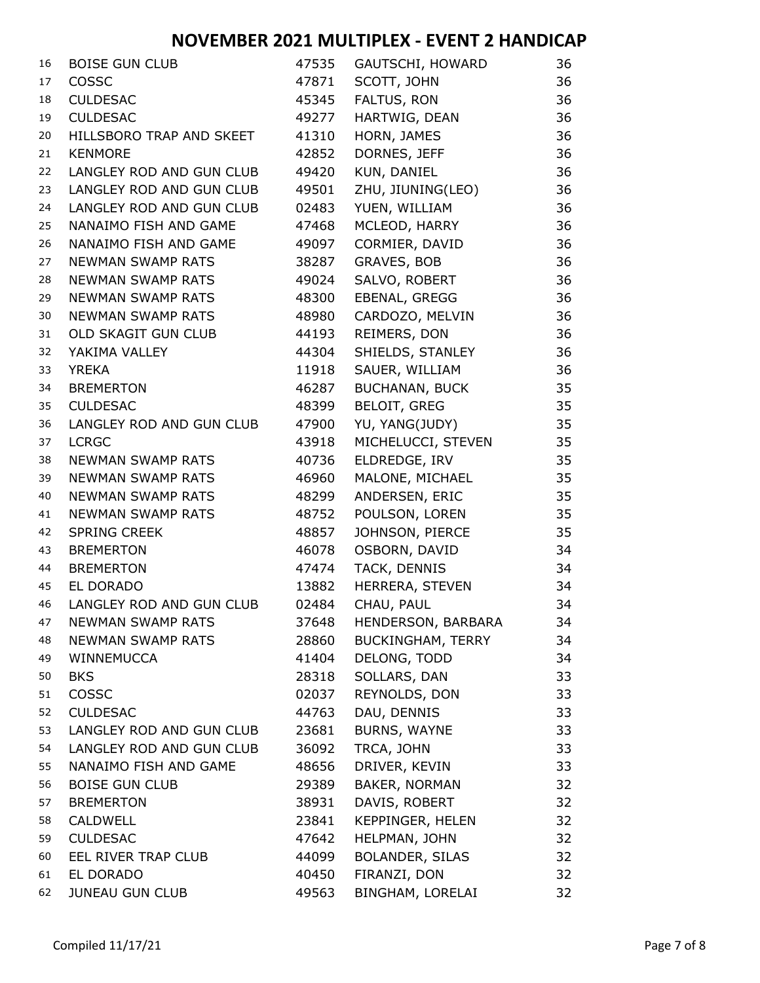| 16 | <b>BOISE GUN CLUB</b>    | 47535 | GAUTSCHI, HOWARD         | 36 |
|----|--------------------------|-------|--------------------------|----|
| 17 | COSSC                    | 47871 | SCOTT, JOHN              | 36 |
| 18 | <b>CULDESAC</b>          | 45345 | FALTUS, RON              | 36 |
| 19 | <b>CULDESAC</b>          | 49277 | HARTWIG, DEAN            | 36 |
| 20 | HILLSBORO TRAP AND SKEET | 41310 | HORN, JAMES              | 36 |
| 21 | <b>KENMORE</b>           | 42852 | DORNES, JEFF             | 36 |
| 22 | LANGLEY ROD AND GUN CLUB | 49420 | KUN, DANIEL              | 36 |
| 23 | LANGLEY ROD AND GUN CLUB | 49501 | ZHU, JIUNING(LEO)        | 36 |
| 24 | LANGLEY ROD AND GUN CLUB | 02483 | YUEN, WILLIAM            | 36 |
| 25 | NANAIMO FISH AND GAME    | 47468 | MCLEOD, HARRY            | 36 |
| 26 | NANAIMO FISH AND GAME    | 49097 | CORMIER, DAVID           | 36 |
| 27 | <b>NEWMAN SWAMP RATS</b> | 38287 | GRAVES, BOB              | 36 |
| 28 | <b>NEWMAN SWAMP RATS</b> | 49024 | SALVO, ROBERT            | 36 |
| 29 | <b>NEWMAN SWAMP RATS</b> | 48300 | EBENAL, GREGG            | 36 |
| 30 | <b>NEWMAN SWAMP RATS</b> | 48980 | CARDOZO, MELVIN          | 36 |
| 31 | OLD SKAGIT GUN CLUB      | 44193 | REIMERS, DON             | 36 |
| 32 | YAKIMA VALLEY            | 44304 | SHIELDS, STANLEY         | 36 |
| 33 | <b>YREKA</b>             | 11918 | SAUER, WILLIAM           | 36 |
| 34 | <b>BREMERTON</b>         | 46287 | <b>BUCHANAN, BUCK</b>    | 35 |
| 35 | <b>CULDESAC</b>          | 48399 | <b>BELOIT, GREG</b>      | 35 |
| 36 | LANGLEY ROD AND GUN CLUB | 47900 | YU, YANG(JUDY)           | 35 |
| 37 | <b>LCRGC</b>             | 43918 | MICHELUCCI, STEVEN       | 35 |
| 38 | <b>NEWMAN SWAMP RATS</b> | 40736 | ELDREDGE, IRV            | 35 |
| 39 | <b>NEWMAN SWAMP RATS</b> | 46960 | MALONE, MICHAEL          | 35 |
| 40 | <b>NEWMAN SWAMP RATS</b> | 48299 | ANDERSEN, ERIC           | 35 |
| 41 | <b>NEWMAN SWAMP RATS</b> | 48752 | POULSON, LOREN           | 35 |
| 42 | <b>SPRING CREEK</b>      | 48857 | JOHNSON, PIERCE          | 35 |
| 43 | <b>BREMERTON</b>         | 46078 | OSBORN, DAVID            | 34 |
| 44 | <b>BREMERTON</b>         | 47474 | TACK, DENNIS             | 34 |
| 45 | EL DORADO                | 13882 | HERRERA, STEVEN          | 34 |
| 46 | LANGLEY ROD AND GUN CLUB | 02484 | CHAU, PAUL               | 34 |
| 47 | <b>NEWMAN SWAMP RATS</b> | 37648 | HENDERSON, BARBARA       | 34 |
| 48 | <b>NEWMAN SWAMP RATS</b> | 28860 | <b>BUCKINGHAM, TERRY</b> | 34 |
| 49 | WINNEMUCCA               | 41404 | DELONG, TODD             | 34 |
| 50 | <b>BKS</b>               | 28318 | SOLLARS, DAN             | 33 |
| 51 | COSSC                    | 02037 | REYNOLDS, DON            | 33 |
| 52 | <b>CULDESAC</b>          | 44763 | DAU, DENNIS              | 33 |
| 53 | LANGLEY ROD AND GUN CLUB | 23681 | <b>BURNS, WAYNE</b>      | 33 |
| 54 | LANGLEY ROD AND GUN CLUB | 36092 | TRCA, JOHN               | 33 |
| 55 | NANAIMO FISH AND GAME    | 48656 | DRIVER, KEVIN            | 33 |
| 56 | <b>BOISE GUN CLUB</b>    | 29389 | <b>BAKER, NORMAN</b>     | 32 |
| 57 | <b>BREMERTON</b>         | 38931 | DAVIS, ROBERT            | 32 |
| 58 | <b>CALDWELL</b>          | 23841 | KEPPINGER, HELEN         | 32 |
| 59 | <b>CULDESAC</b>          | 47642 | HELPMAN, JOHN            | 32 |
| 60 | EEL RIVER TRAP CLUB      | 44099 | <b>BOLANDER, SILAS</b>   | 32 |
| 61 | EL DORADO                | 40450 | FIRANZI, DON             | 32 |
| 62 | <b>JUNEAU GUN CLUB</b>   | 49563 | BINGHAM, LORELAI         | 32 |